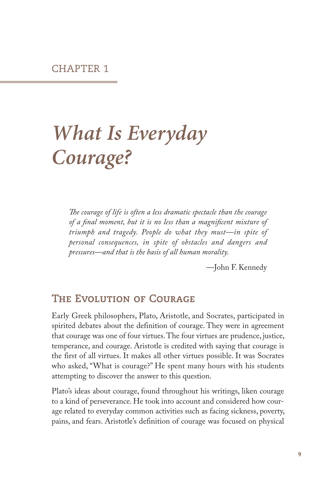# *What Is Everyday Courage?*

*The courage of life is often a less dramatic spectacle than the courage of a final moment, but it is no less than a magnificent mixture of triumph and tragedy. People do what they must—in spite of personal consequences, in spite of obstacles and dangers and pressures—and that is the basis of all human morality.*

—John F. Kennedy

### **The Evolution of Courage**

Early Greek philosophers, Plato, Aristotle, and Socrates, participated in spirited debates about the definition of courage. They were in agreement that courage was one of four virtues. The four virtues are prudence, justice, temperance, and courage. Aristotle is credited with saying that courage is the first of all virtues. It makes all other virtues possible. It was Socrates who asked, "What is courage?" He spent many hours with his students attempting to discover the answer to this question.

Plato's ideas about courage, found throughout his writings, liken courage to a kind of perseverance. He took into account and considered how courage related to everyday common activities such as facing sickness, poverty, pains, and fears. Aristotle's definition of courage was focused on physical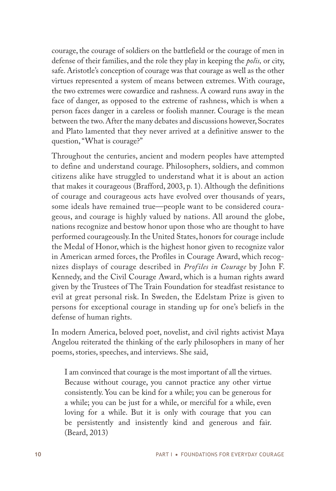courage, the courage of soldiers on the battlefield or the courage of men in defense of their families, and the role they play in keeping the *polis,* or city, safe. Aristotle's conception of courage was that courage as well as the other virtues represented a system of means between extremes. With courage, the two extremes were cowardice and rashness. A coward runs away in the face of danger, as opposed to the extreme of rashness, which is when a person faces danger in a careless or foolish manner. Courage is the mean between the two. After the many debates and discussions however, Socrates and Plato lamented that they never arrived at a definitive answer to the question, "What is courage?"

Throughout the centuries, ancient and modern peoples have attempted to define and understand courage. Philosophers, soldiers, and common citizens alike have struggled to understand what it is about an action that makes it courageous (Brafford, 2003, p. 1). Although the definitions of courage and courageous acts have evolved over thousands of years, some ideals have remained true—people want to be considered courageous, and courage is highly valued by nations. All around the globe, nations recognize and bestow honor upon those who are thought to have performed courageously. In the United States, honors for courage include the Medal of Honor, which is the highest honor given to recognize valor in American armed forces, the Profiles in Courage Award, which recognizes displays of courage described in *Profiles in Courage* by John F. Kennedy, and the Civil Courage Award, which is a human rights award given by the Trustees of The Train Foundation for steadfast resistance to evil at great personal risk. In Sweden, the Edelstam Prize is given to persons for exceptional courage in standing up for one's beliefs in the defense of human rights.

In modern America, beloved poet, novelist, and civil rights activist Maya Angelou reiterated the thinking of the early philosophers in many of her poems, stories, speeches, and interviews. She said,

I am convinced that courage is the most important of all the virtues. Because without courage, you cannot practice any other virtue consistently. You can be kind for a while; you can be generous for a while; you can be just for a while, or merciful for a while, even loving for a while. But it is only with courage that you can be persistently and insistently kind and generous and fair. (Beard, 2013)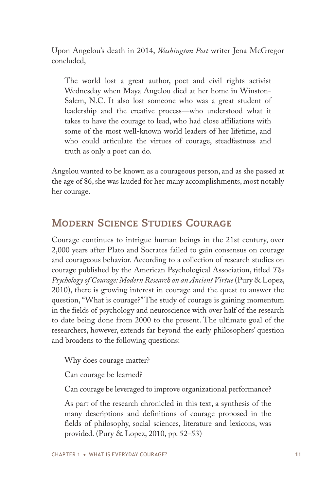Upon Angelou's death in 2014, *Washington Post* writer Jena McGregor concluded,

The world lost a great author, poet and civil rights activist Wednesday when Maya Angelou died at her home in Winston-Salem, N.C. It also lost someone who was a great student of leadership and the creative process—who understood what it takes to have the courage to lead, who had close affiliations with some of the most well-known world leaders of her lifetime, and who could articulate the virtues of courage, steadfastness and truth as only a poet can do.

Angelou wanted to be known as a courageous person, and as she passed at the age of 86, she was lauded for her many accomplishments, most notably her courage.

### **Modern Science Studies Courage**

Courage continues to intrigue human beings in the 21st century, over 2,000 years after Plato and Socrates failed to gain consensus on courage and courageous behavior. According to a collection of research studies on courage published by the American Psychological Association, titled *The Psychology of Courage: Modern Research on an Ancient Virtue* (Pury & Lopez, 2010), there is growing interest in courage and the quest to answer the question, "What is courage?" The study of courage is gaining momentum in the fields of psychology and neuroscience with over half of the research to date being done from 2000 to the present. The ultimate goal of the researchers, however, extends far beyond the early philosophers' question and broadens to the following questions:

Why does courage matter?

Can courage be learned?

Can courage be leveraged to improve organizational performance?

As part of the research chronicled in this text, a synthesis of the many descriptions and definitions of courage proposed in the fields of philosophy, social sciences, literature and lexicons, was provided. (Pury & Lopez, 2010, pp. 52–53)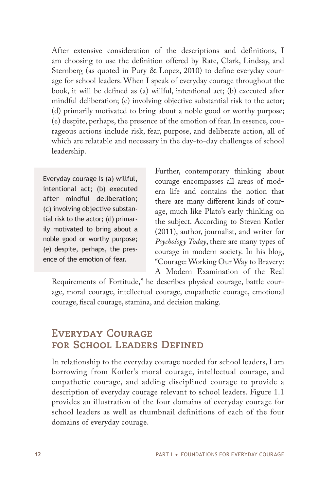After extensive consideration of the descriptions and definitions, I am choosing to use the definition offered by Rate, Clark, Lindsay, and Sternberg (as quoted in Pury & Lopez, 2010) to define everyday courage for school leaders. When I speak of everyday courage throughout the book, it will be defined as (a) willful, intentional act; (b) executed after mindful deliberation; (c) involving objective substantial risk to the actor; (d) primarily motivated to bring about a noble good or worthy purpose; (e) despite, perhaps, the presence of the emotion of fear. In essence, courageous actions include risk, fear, purpose, and deliberate action, all of which are relatable and necessary in the day-to-day challenges of school leadership.

Everyday courage is (a) willful, intentional act; (b) executed after mindful deliberation; (c) involving objective substantial risk to the actor; (d) primarily motivated to bring about a noble good or worthy purpose; (e) despite, perhaps, the presence of the emotion of fear.

Further, contemporary thinking about courage encompasses all areas of modern life and contains the notion that there are many different kinds of courage, much like Plato's early thinking on the subject. According to Steven Kotler (2011), author, journalist, and writer for *Psychology Today*, there are many types of courage in modern society. In his blog, "Courage: Working Our Way to Bravery: A Modern Examination of the Real

Requirements of Fortitude," he describes physical courage, battle courage, moral courage, intellectual courage, empathetic courage, emotional courage, fiscal courage, stamina, and decision making.

#### **Everyday Courage for School Leaders Defined**

In relationship to the everyday courage needed for school leaders, I am borrowing from Kotler's moral courage, intellectual courage, and empathetic courage, and adding disciplined courage to provide a description of everyday courage relevant to school leaders. Figure 1.1 provides an illustration of the four domains of everyday courage for school leaders as well as thumbnail definitions of each of the four domains of everyday courage.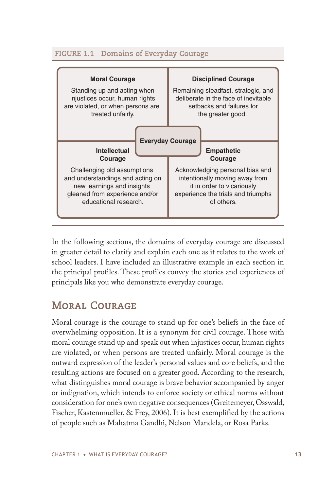

In the following sections, the domains of everyday courage are discussed in greater detail to clarify and explain each one as it relates to the work of school leaders. I have included an illustrative example in each section in the principal profiles. These profiles convey the stories and experiences of principals like you who demonstrate everyday courage.

## **Moral Courage**

Moral courage is the courage to stand up for one's beliefs in the face of overwhelming opposition. It is a synonym for civil courage. Those with moral courage stand up and speak out when injustices occur, human rights are violated, or when persons are treated unfairly. Moral courage is the outward expression of the leader's personal values and core beliefs, and the resulting actions are focused on a greater good. According to the research, what distinguishes moral courage is brave behavior accompanied by anger or indignation, which intends to enforce society or ethical norms without consideration for one's own negative consequences (Greitemeyer, Osswald, Fischer, Kastenmueller, & Frey, 2006). It is best exemplified by the actions of people such as Mahatma Gandhi, Nelson Mandela, or Rosa Parks.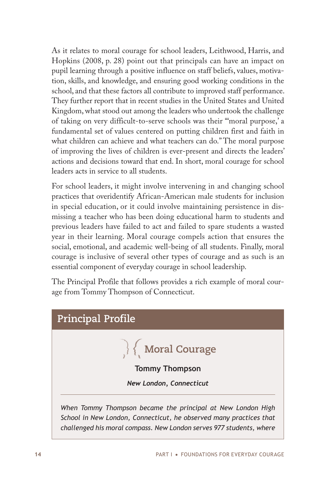As it relates to moral courage for school leaders, Leithwood, Harris, and Hopkins (2008, p. 28) point out that principals can have an impact on pupil learning through a positive influence on staff beliefs, values, motivation, skills, and knowledge, and ensuring good working conditions in the school, and that these factors all contribute to improved staff performance. They further report that in recent studies in the United States and United Kingdom, what stood out among the leaders who undertook the challenge of taking on very difficult-to-serve schools was their "'moral purpose,' a fundamental set of values centered on putting children first and faith in what children can achieve and what teachers can do." The moral purpose of improving the lives of children is ever-present and directs the leaders' actions and decisions toward that end. In short, moral courage for school leaders acts in service to all students.

For school leaders, it might involve intervening in and changing school practices that overidentify African-American male students for inclusion in special education, or it could involve maintaining persistence in dismissing a teacher who has been doing educational harm to students and previous leaders have failed to act and failed to spare students a wasted year in their learning. Moral courage compels action that ensures the social, emotional, and academic well-being of all students. Finally, moral courage is inclusive of several other types of courage and as such is an essential component of everyday courage in school leadership.

The Principal Profile that follows provides a rich example of moral courage from Tommy Thompson of Connecticut.



*School in New London, Connecticut, he observed many practices that challenged his moral compass. New London serves 977 students, where*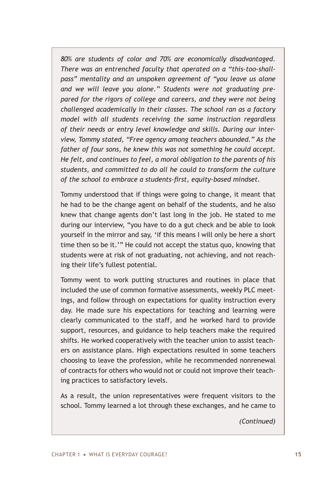*80% are students of color and 70% are economically disadvantaged. There was an entrenched faculty that operated on a "this-too-shallpass" mentality and an unspoken agreement of "you leave us alone and we will leave you alone." Students were not graduating prepared for the rigors of college and careers, and they were not being challenged academically in their classes. The school ran as a factory model with all students receiving the same instruction regardless of their needs or entry level knowledge and skills. During our interview, Tommy stated, "Free agency among teachers abounded." As the father of four sons, he knew this was not something he could accept. He felt, and continues to feel, a moral obligation to the parents of his students, and committed to do all he could to transform the culture of the school to embrace a students-first, equity-based mindset.*

Tommy understood that if things were going to change, it meant that he had to be the change agent on behalf of the students, and he also knew that change agents don't last long in the job. He stated to me during our interview, "you have to do a gut check and be able to look yourself in the mirror and say, 'if this means I will only be here a short time then so be it.'" He could not accept the status quo, knowing that students were at risk of not graduating, not achieving, and not reaching their life's fullest potential.

Tommy went to work putting structures and routines in place that included the use of common formative assessments, weekly PLC meetings, and follow through on expectations for quality instruction every day. He made sure his expectations for teaching and learning were clearly communicated to the staff, and he worked hard to provide support, resources, and guidance to help teachers make the required shifts. He worked cooperatively with the teacher union to assist teachers on assistance plans. High expectations resulted in some teachers choosing to leave the profession, while he recommended nonrenewal of contracts for others who would not or could not improve their teaching practices to satisfactory levels.

As a result, the union representatives were frequent visitors to the school. Tommy learned a lot through these exchanges, and he came to

*(Continued)*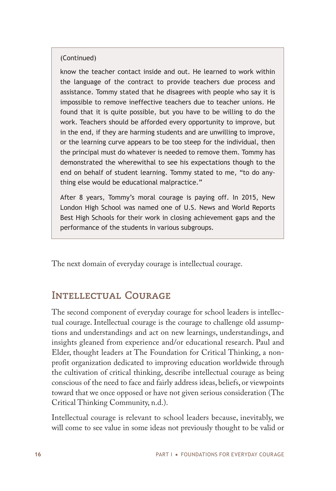#### (Continued)

know the teacher contact inside and out. He learned to work within the language of the contract to provide teachers due process and assistance. Tommy stated that he disagrees with people who say it is impossible to remove ineffective teachers due to teacher unions. He found that it is quite possible, but you have to be willing to do the work. Teachers should be afforded every opportunity to improve, but in the end, if they are harming students and are unwilling to improve, or the learning curve appears to be too steep for the individual, then the principal must do whatever is needed to remove them. Tommy has demonstrated the wherewithal to see his expectations though to the end on behalf of student learning. Tommy stated to me, "to do anything else would be educational malpractice."

After 8 years, Tommy's moral courage is paying off. In 2015, New London High School was named one of U.S. News and World Reports Best High Schools for their work in closing achievement gaps and the performance of the students in various subgroups.

The next domain of everyday courage is intellectual courage.

#### **Intellectual Courage**

The second component of everyday courage for school leaders is intellectual courage. Intellectual courage is the courage to challenge old assumptions and understandings and act on new learnings, understandings, and insights gleaned from experience and/or educational research. Paul and Elder, thought leaders at The Foundation for Critical Thinking, a nonprofit organization dedicated to improving education worldwide through the cultivation of critical thinking, describe intellectual courage as being conscious of the need to face and fairly address ideas, beliefs, or viewpoints toward that we once opposed or have not given serious consideration (The Critical Thinking Community, n.d.).

Intellectual courage is relevant to school leaders because, inevitably, we will come to see value in some ideas not previously thought to be valid or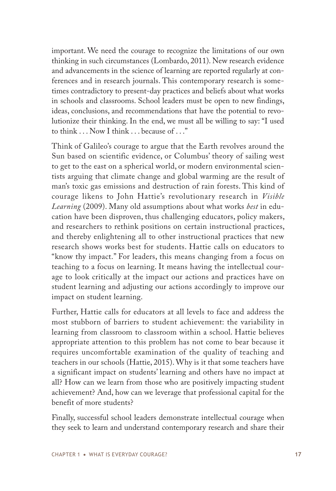important. We need the courage to recognize the limitations of our own thinking in such circumstances (Lombardo, 2011). New research evidence and advancements in the science of learning are reported regularly at conferences and in research journals. This contemporary research is sometimes contradictory to present-day practices and beliefs about what works in schools and classrooms. School leaders must be open to new findings, ideas, conclusions, and recommendations that have the potential to revolutionize their thinking. In the end, we must all be willing to say: "I used to think . . . Now I think . . . because of . . ."

Think of Galileo's courage to argue that the Earth revolves around the Sun based on scientific evidence, or Columbus' theory of sailing west to get to the east on a spherical world, or modern environmental scientists arguing that climate change and global warming are the result of man's toxic gas emissions and destruction of rain forests. This kind of courage likens to John Hattie's revolutionary research in *Visible Learning* (2009). Many old assumptions about what works *best* in education have been disproven, thus challenging educators, policy makers, and researchers to rethink positions on certain instructional practices, and thereby enlightening all to other instructional practices that new research shows works best for students. Hattie calls on educators to "know thy impact." For leaders, this means changing from a focus on teaching to a focus on learning. It means having the intellectual courage to look critically at the impact our actions and practices have on student learning and adjusting our actions accordingly to improve our impact on student learning.

Further, Hattie calls for educators at all levels to face and address the most stubborn of barriers to student achievement: the variability in learning from classroom to classroom within a school. Hattie believes appropriate attention to this problem has not come to bear because it requires uncomfortable examination of the quality of teaching and teachers in our schools (Hattie, 2015). Why is it that some teachers have a significant impact on students' learning and others have no impact at all? How can we learn from those who are positively impacting student achievement? And, how can we leverage that professional capital for the benefit of more students?

Finally, successful school leaders demonstrate intellectual courage when they seek to learn and understand contemporary research and share their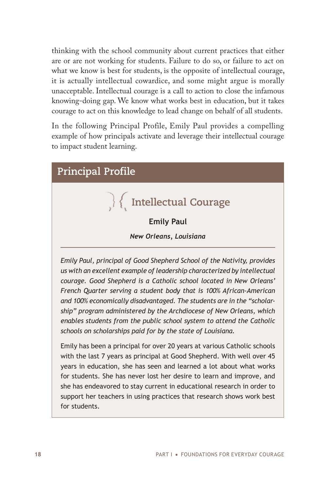thinking with the school community about current practices that either are or are not working for students. Failure to do so, or failure to act on what we know is best for students, is the opposite of intellectual courage, it is actually intellectual cowardice, and some might argue is morally unacceptable. Intellectual courage is a call to action to close the infamous knowing-doing gap. We know what works best in education, but it takes courage to act on this knowledge to lead change on behalf of all students.

In the following Principal Profile, Emily Paul provides a compelling example of how principals activate and leverage their intellectual courage to impact student learning.

# **Intellectual Courage Emily Paul** *New Orleans, Louisiana Emily Paul, principal of Good Shepherd School of the Nativity, provides us with an excellent example of leadership characterized by intellectual*  **Principal Profile**

*courage. Good Shepherd is a Catholic school located in New Orleans' French Quarter serving a student body that is 100% African-American and 100% economically disadvantaged. The students are in the "scholarship" program administered by the Archdiocese of New Orleans, which enables students from the public school system to attend the Catholic schools on scholarships paid for by the state of Louisiana.*

Emily has been a principal for over 20 years at various Catholic schools with the last 7 years as principal at Good Shepherd. With well over 45 years in education, she has seen and learned a lot about what works for students. She has never lost her desire to learn and improve, and she has endeavored to stay current in educational research in order to support her teachers in using practices that research shows work best for students.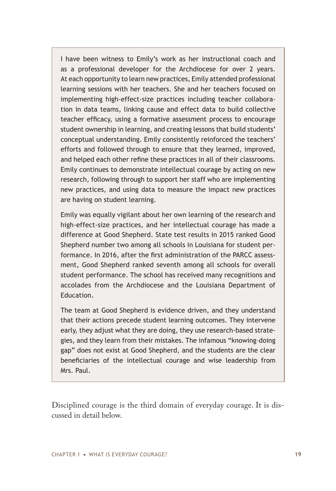I have been witness to Emily's work as her instructional coach and as a professional developer for the Archdiocese for over 2 years. At each opportunity to learn new practices, Emily attended professional learning sessions with her teachers. She and her teachers focused on implementing high-effect-size practices including teacher collaboration in data teams, linking cause and effect data to build collective teacher efficacy, using a formative assessment process to encourage student ownership in learning, and creating lessons that build students' conceptual understanding. Emily consistently reinforced the teachers' efforts and followed through to ensure that they learned, improved, and helped each other refine these practices in all of their classrooms. Emily continues to demonstrate intellectual courage by acting on new research, following through to support her staff who are implementing new practices, and using data to measure the impact new practices are having on student learning.

Emily was equally vigilant about her own learning of the research and high-effect-size practices, and her intellectual courage has made a difference at Good Shepherd. State test results in 2015 ranked Good Shepherd number two among all schools in Louisiana for student performance. In 2016, after the first administration of the PARCC assessment, Good Shepherd ranked seventh among all schools for overall student performance. The school has received many recognitions and accolades from the Archdiocese and the Louisiana Department of Education.

The team at Good Shepherd is evidence driven, and they understand that their actions precede student learning outcomes. They intervene early, they adjust what they are doing, they use research-based strategies, and they learn from their mistakes. The infamous "knowing–doing gap" does not exist at Good Shepherd, and the students are the clear beneficiaries of the intellectual courage and wise leadership from Mrs. Paul.

Disciplined courage is the third domain of everyday courage. It is discussed in detail below.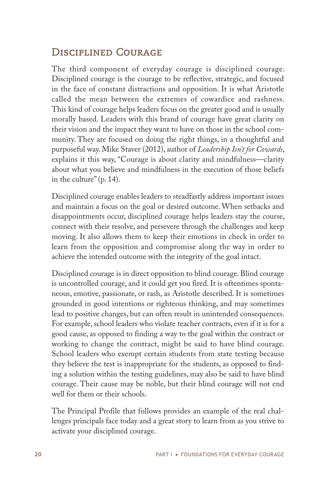## **Disciplined Courage**

The third component of everyday courage is disciplined courage. Disciplined courage is the courage to be reflective, strategic, and focused in the face of constant distractions and opposition. It is what Aristotle called the mean between the extremes of cowardice and rashness. This kind of courage helps leaders focus on the greater good and is usually morally based. Leaders with this brand of courage have great clarity on their vision and the impact they want to have on those in the school community. They are focused on doing the right things, in a thoughtful and purposeful way. Mike Staver (2012), author of *Leadership Isn't for Cowards*, explains it this way, "Courage is about clarity and mindfulness—clarity about what you believe and mindfulness in the execution of those beliefs in the culture" (p. 14).

Disciplined courage enables leaders to steadfastly address important issues and maintain a focus on the goal or desired outcome. When setbacks and disappointments occur, disciplined courage helps leaders stay the course, connect with their resolve, and persevere through the challenges and keep moving. It also allows them to keep their emotions in check in order to learn from the opposition and compromise along the way in order to achieve the intended outcome with the integrity of the goal intact.

Disciplined courage is in direct opposition to blind courage. Blind courage is uncontrolled courage, and it could get you fired. It is oftentimes spontaneous, emotive, passionate, or rash, as Aristotle described. It is sometimes grounded in good intentions or righteous thinking, and may sometimes lead to positive changes, but can often result in unintended consequences. For example, school leaders who violate teacher contracts, even if it is for a good cause, as opposed to finding a way to the goal within the contract or working to change the contract, might be said to have blind courage. School leaders who exempt certain students from state testing because they believe the test is inappropriate for the students, as opposed to finding a solution within the testing guidelines, may also be said to have blind courage. Their cause may be noble, but their blind courage will not end well for them or their schools.

The Principal Profile that follows provides an example of the real challenges principals face today and a great story to learn from as you strive to activate your disciplined courage.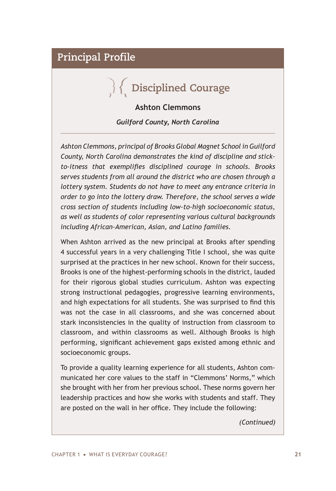## **Principal Profile**

# **Disciplined Courage**

**Ashton Clemmons**

*Guilford County, North Carolina*

*Ashton Clemmons, principal of Brooks Global Magnet School in Guilford County, North Carolina demonstrates the kind of discipline and stickto-itness that exemplifies disciplined courage in schools. Brooks serves students from all around the district who are chosen through a lottery system. Students do not have to meet any entrance criteria in order to go into the lottery draw. Therefore, the school serves a wide cross section of students including low-to-high socioeconomic status, as well as students of color representing various cultural backgrounds including African-American, Asian, and Latino families.*

When Ashton arrived as the new principal at Brooks after spending 4 successful years in a very challenging Title I school, she was quite surprised at the practices in her new school. Known for their success, Brooks is one of the highest-performing schools in the district, lauded for their rigorous global studies curriculum. Ashton was expecting strong instructional pedagogies, progressive learning environments, and high expectations for all students. She was surprised to find this was not the case in all classrooms, and she was concerned about stark inconsistencies in the quality of instruction from classroom to classroom, and within classrooms as well. Although Brooks is high performing, significant achievement gaps existed among ethnic and socioeconomic groups.

To provide a quality learning experience for all students, Ashton communicated her core values to the staff in "Clemmons' Norms," which she brought with her from her previous school. These norms govern her leadership practices and how she works with students and staff. They are posted on the wall in her office. They include the following:

*(Continued)*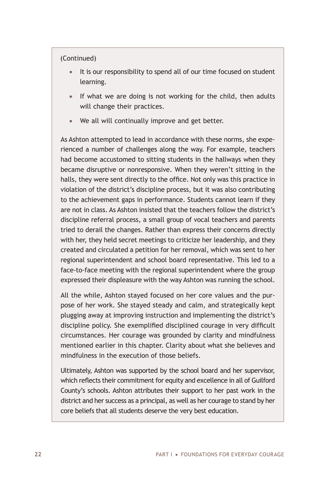#### (Continued)

- It is our responsibility to spend all of our time focused on student learning.
- If what we are doing is not working for the child, then adults will change their practices.
- We all will continually improve and get better.

As Ashton attempted to lead in accordance with these norms, she experienced a number of challenges along the way. For example, teachers had become accustomed to sitting students in the hallways when they became disruptive or nonresponsive. When they weren't sitting in the halls, they were sent directly to the office. Not only was this practice in violation of the district's discipline process, but it was also contributing to the achievement gaps in performance. Students cannot learn if they are not in class. As Ashton insisted that the teachers follow the district's discipline referral process, a small group of vocal teachers and parents tried to derail the changes. Rather than express their concerns directly with her, they held secret meetings to criticize her leadership, and they created and circulated a petition for her removal, which was sent to her regional superintendent and school board representative. This led to a face-to-face meeting with the regional superintendent where the group expressed their displeasure with the way Ashton was running the school.

All the while, Ashton stayed focused on her core values and the purpose of her work. She stayed steady and calm, and strategically kept plugging away at improving instruction and implementing the district's discipline policy. She exemplified disciplined courage in very difficult circumstances. Her courage was grounded by clarity and mindfulness mentioned earlier in this chapter. Clarity about what she believes and mindfulness in the execution of those beliefs.

Ultimately, Ashton was supported by the school board and her supervisor, which reflects their commitment for equity and excellence in all of Guilford County's schools. Ashton attributes their support to her past work in the district and her success as a principal, as well as her courage to stand by her core beliefs that all students deserve the very best education.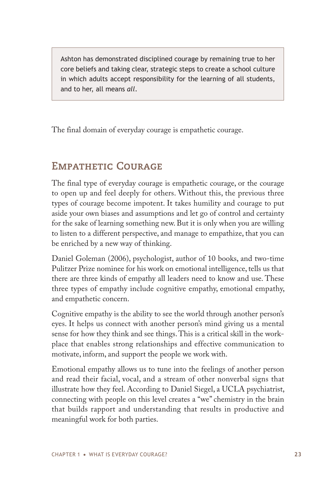Ashton has demonstrated disciplined courage by remaining true to her core beliefs and taking clear, strategic steps to create a school culture in which adults accept responsibility for the learning of all students, and to her, all means *all*.

The final domain of everyday courage is empathetic courage.

# **Empathetic Courage**

The final type of everyday courage is empathetic courage, or the courage to open up and feel deeply for others. Without this, the previous three types of courage become impotent. It takes humility and courage to put aside your own biases and assumptions and let go of control and certainty for the sake of learning something new. But it is only when you are willing to listen to a different perspective, and manage to empathize, that you can be enriched by a new way of thinking.

Daniel Goleman (2006), psychologist, author of 10 books, and two-time Pulitzer Prize nominee for his work on emotional intelligence, tells us that there are three kinds of empathy all leaders need to know and use. These three types of empathy include cognitive empathy, emotional empathy, and empathetic concern.

Cognitive empathy is the ability to see the world through another person's eyes. It helps us connect with another person's mind giving us a mental sense for how they think and see things. This is a critical skill in the workplace that enables strong relationships and effective communication to motivate, inform, and support the people we work with.

Emotional empathy allows us to tune into the feelings of another person and read their facial, vocal, and a stream of other nonverbal signs that illustrate how they feel. According to Daniel Siegel, a UCLA psychiatrist, connecting with people on this level creates a "we" chemistry in the brain that builds rapport and understanding that results in productive and meaningful work for both parties.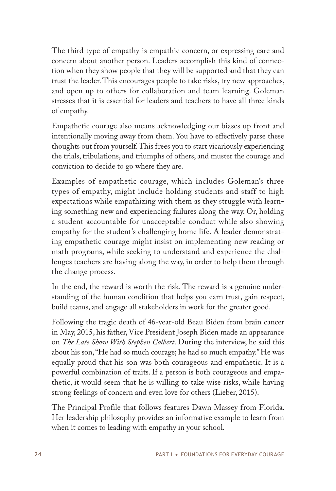The third type of empathy is empathic concern, or expressing care and concern about another person. Leaders accomplish this kind of connection when they show people that they will be supported and that they can trust the leader. This encourages people to take risks, try new approaches, and open up to others for collaboration and team learning. Goleman stresses that it is essential for leaders and teachers to have all three kinds of empathy.

Empathetic courage also means acknowledging our biases up front and intentionally moving away from them. You have to effectively parse these thoughts out from yourself. This frees you to start vicariously experiencing the trials, tribulations, and triumphs of others, and muster the courage and conviction to decide to go where they are.

Examples of empathetic courage, which includes Goleman's three types of empathy, might include holding students and staff to high expectations while empathizing with them as they struggle with learning something new and experiencing failures along the way. Or, holding a student accountable for unacceptable conduct while also showing empathy for the student's challenging home life. A leader demonstrating empathetic courage might insist on implementing new reading or math programs, while seeking to understand and experience the challenges teachers are having along the way, in order to help them through the change process.

In the end, the reward is worth the risk. The reward is a genuine understanding of the human condition that helps you earn trust, gain respect, build teams, and engage all stakeholders in work for the greater good.

Following the tragic death of 46-year-old Beau Biden from brain cancer in May, 2015, his father, Vice President Joseph Biden made an appearance on *The Late Show With Stephen Colbert*. During the interview, he said this about his son, "He had so much courage; he had so much empathy." He was equally proud that his son was both courageous and empathetic. It is a powerful combination of traits. If a person is both courageous and empathetic, it would seem that he is willing to take wise risks, while having strong feelings of concern and even love for others (Lieber, 2015).

The Principal Profile that follows features Dawn Massey from Florida. Her leadership philosophy provides an informative example to learn from when it comes to leading with empathy in your school.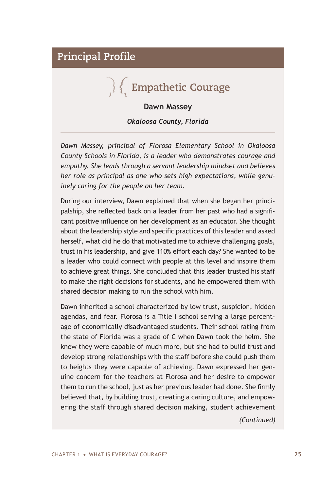## **Principal Profile**

# **Empathetic Courage**

**Dawn Massey**

*Okaloosa County, Florida*

*Dawn Massey, principal of Florosa Elementary School in Okaloosa County Schools in Florida, is a leader who demonstrates courage and empathy. She leads through a servant leadership mindset and believes her role as principal as one who sets high expectations, while genuinely caring for the people on her team.*

During our interview, Dawn explained that when she began her principalship, she reflected back on a leader from her past who had a significant positive influence on her development as an educator. She thought about the leadership style and specific practices of this leader and asked herself, what did he do that motivated me to achieve challenging goals, trust in his leadership, and give 110% effort each day? She wanted to be a leader who could connect with people at this level and inspire them to achieve great things. She concluded that this leader trusted his staff to make the right decisions for students, and he empowered them with shared decision making to run the school with him.

Dawn inherited a school characterized by low trust, suspicion, hidden agendas, and fear. Florosa is a Title I school serving a large percentage of economically disadvantaged students. Their school rating from the state of Florida was a grade of C when Dawn took the helm. She knew they were capable of much more, but she had to build trust and develop strong relationships with the staff before she could push them to heights they were capable of achieving. Dawn expressed her genuine concern for the teachers at Florosa and her desire to empower them to run the school, just as her previous leader had done. She firmly believed that, by building trust, creating a caring culture, and empowering the staff through shared decision making, student achievement

*(Continued)*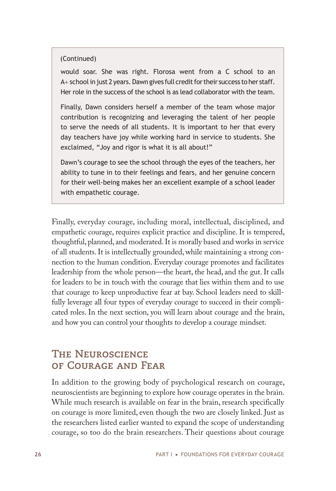#### (Continued)

would soar. She was right. Florosa went from a C school to an A+ school in just 2 years. Dawn gives full credit for their success to her staff. Her role in the success of the school is as lead collaborator with the team.

Finally, Dawn considers herself a member of the team whose major contribution is recognizing and leveraging the talent of her people to serve the needs of all students. It is important to her that every day teachers have joy while working hard in service to students. She exclaimed, "Joy and rigor is what it is all about!"

Dawn's courage to see the school through the eyes of the teachers, her ability to tune in to their feelings and fears, and her genuine concern for their well-being makes her an excellent example of a school leader with empathetic courage.

Finally, everyday courage, including moral, intellectual, disciplined, and empathetic courage, requires explicit practice and discipline. It is tempered, thoughtful, planned, and moderated. It is morally based and works in service of all students. It is intellectually grounded, while maintaining a strong connection to the human condition. Everyday courage promotes and facilitates leadership from the whole person—the heart, the head, and the gut. It calls for leaders to be in touch with the courage that lies within them and to use that courage to keep unproductive fear at bay. School leaders need to skillfully leverage all four types of everyday courage to succeed in their complicated roles. In the next section, you will learn about courage and the brain, and how you can control your thoughts to develop a courage mindset.

### **The Neuroscience of Courage and Fear**

In addition to the growing body of psychological research on courage, neuroscientists are beginning to explore how courage operates in the brain. While much research is available on fear in the brain, research specifically on courage is more limited, even though the two are closely linked. Just as the researchers listed earlier wanted to expand the scope of understanding courage, so too do the brain researchers. Their questions about courage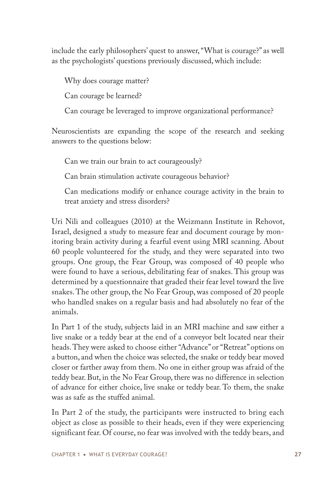include the early philosophers' quest to answer, "What is courage?" as well as the psychologists' questions previously discussed, which include:

Why does courage matter?

Can courage be learned?

Can courage be leveraged to improve organizational performance?

Neuroscientists are expanding the scope of the research and seeking answers to the questions below:

Can we train our brain to act courageously?

Can brain stimulation activate courageous behavior?

Can medications modify or enhance courage activity in the brain to treat anxiety and stress disorders?

Uri Nili and colleagues (2010) at the Weizmann Institute in Rehovot, Israel, designed a study to measure fear and document courage by monitoring brain activity during a fearful event using MRI scanning. About 60 people volunteered for the study, and they were separated into two groups. One group, the Fear Group, was composed of 40 people who were found to have a serious, debilitating fear of snakes. This group was determined by a questionnaire that graded their fear level toward the live snakes. The other group, the No Fear Group, was composed of 20 people who handled snakes on a regular basis and had absolutely no fear of the animals.

In Part 1 of the study, subjects laid in an MRI machine and saw either a live snake or a teddy bear at the end of a conveyor belt located near their heads. They were asked to choose either "Advance" or "Retreat" options on a button, and when the choice was selected, the snake or teddy bear moved closer or farther away from them. No one in either group was afraid of the teddy bear. But, in the No Fear Group, there was no difference in selection of advance for either choice, live snake or teddy bear. To them, the snake was as safe as the stuffed animal.

In Part 2 of the study, the participants were instructed to bring each object as close as possible to their heads, even if they were experiencing significant fear. Of course, no fear was involved with the teddy bears, and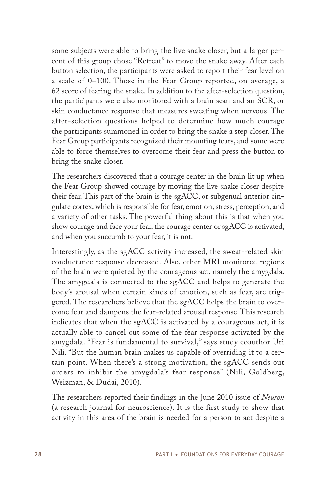some subjects were able to bring the live snake closer, but a larger percent of this group chose "Retreat" to move the snake away. After each button selection, the participants were asked to report their fear level on a scale of 0–100. Those in the Fear Group reported, on average, a 62 score of fearing the snake. In addition to the after-selection question, the participants were also monitored with a brain scan and an SCR, or skin conductance response that measures sweating when nervous. The after-selection questions helped to determine how much courage the participants summoned in order to bring the snake a step closer. The Fear Group participants recognized their mounting fears, and some were able to force themselves to overcome their fear and press the button to bring the snake closer.

The researchers discovered that a courage center in the brain lit up when the Fear Group showed courage by moving the live snake closer despite their fear. This part of the brain is the sgACC, or subgenual anterior cingulate cortex, which is responsible for fear, emotion, stress, perception, and a variety of other tasks. The powerful thing about this is that when you show courage and face your fear, the courage center or sgACC is activated, and when you succumb to your fear, it is not.

Interestingly, as the sgACC activity increased, the sweat-related skin conductance response decreased. Also, other MRI monitored regions of the brain were quieted by the courageous act, namely the amygdala. The amygdala is connected to the sgACC and helps to generate the body's arousal when certain kinds of emotion, such as fear, are triggered. The researchers believe that the sgACC helps the brain to overcome fear and dampens the fear-related arousal response. This research indicates that when the sgACC is activated by a courageous act, it is actually able to cancel out some of the fear response activated by the amygdala. "Fear is fundamental to survival," says study coauthor Uri Nili. "But the human brain makes us capable of overriding it to a certain point. When there's a strong motivation, the sgACC sends out orders to inhibit the amygdala's fear response" (Nili, Goldberg, Weizman, & Dudai, 2010).

The researchers reported their findings in the June 2010 issue of *Neuron*  (a research journal for neuroscience). It is the first study to show that activity in this area of the brain is needed for a person to act despite a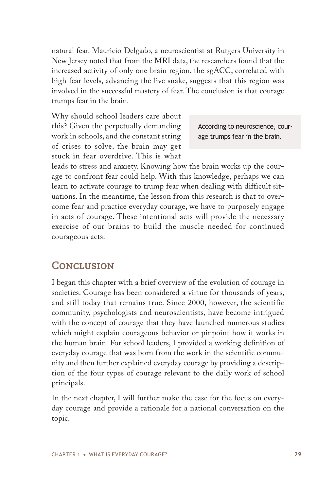natural fear. Mauricio Delgado, a neuroscientist at Rutgers University in New Jersey noted that from the MRI data, the researchers found that the increased activity of only one brain region, the sgACC, correlated with high fear levels, advancing the live snake, suggests that this region was involved in the successful mastery of fear. The conclusion is that courage trumps fear in the brain.

Why should school leaders care about this? Given the perpetually demanding work in schools, and the constant string of crises to solve, the brain may get stuck in fear overdrive. This is what

According to neuroscience, courage trumps fear in the brain.

leads to stress and anxiety. Knowing how the brain works up the courage to confront fear could help. With this knowledge, perhaps we can learn to activate courage to trump fear when dealing with difficult situations. In the meantime, the lesson from this research is that to overcome fear and practice everyday courage, we have to purposely engage in acts of courage. These intentional acts will provide the necessary exercise of our brains to build the muscle needed for continued courageous acts.

#### **Conclusion**

I began this chapter with a brief overview of the evolution of courage in societies. Courage has been considered a virtue for thousands of years, and still today that remains true. Since 2000, however, the scientific community, psychologists and neuroscientists, have become intrigued with the concept of courage that they have launched numerous studies which might explain courageous behavior or pinpoint how it works in the human brain. For school leaders, I provided a working definition of everyday courage that was born from the work in the scientific community and then further explained everyday courage by providing a description of the four types of courage relevant to the daily work of school principals.

In the next chapter, I will further make the case for the focus on everyday courage and provide a rationale for a national conversation on the topic.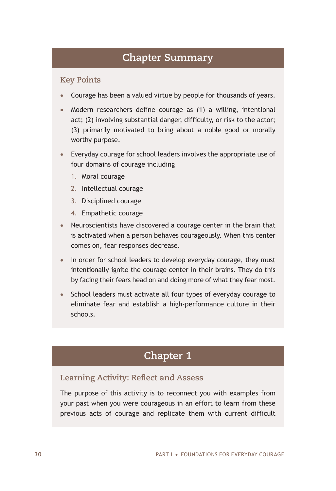### **Chapter Summary**

#### **Key Points**

- Courage has been a valued virtue by people for thousands of years.
- Modern researchers define courage as (1) a willing, intentional act; (2) involving substantial danger, difficulty, or risk to the actor; (3) primarily motivated to bring about a noble good or morally worthy purpose.
- Everyday courage for school leaders involves the appropriate use of four domains of courage including
	- 1. Moral courage
	- 2. Intellectual courage
	- 3. Disciplined courage
	- 4. Empathetic courage
- Neuroscientists have discovered a courage center in the brain that is activated when a person behaves courageously. When this center comes on, fear responses decrease.
- In order for school leaders to develop everyday courage, they must intentionally ignite the courage center in their brains. They do this by facing their fears head on and doing more of what they fear most.
- School leaders must activate all four types of everyday courage to eliminate fear and establish a high-performance culture in their schools.

## **Chapter 1**

#### **Learning Activity: Reflect and Assess**

The purpose of this activity is to reconnect you with examples from your past when you were courageous in an effort to learn from these previous acts of courage and replicate them with current difficult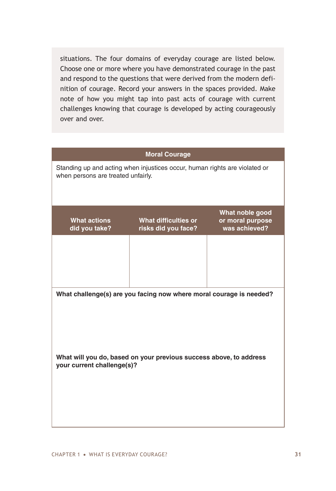situations. The four domains of everyday courage are listed below. Choose one or more where you have demonstrated courage in the past and respond to the questions that were derived from the modern definition of courage. Record your answers in the spaces provided. Make note of how you might tap into past acts of courage with current challenges knowing that courage is developed by acting courageously over and over.

| <b>Moral Courage</b>                                                                                             |                                                    |                                                      |  |  |
|------------------------------------------------------------------------------------------------------------------|----------------------------------------------------|------------------------------------------------------|--|--|
| Standing up and acting when injustices occur, human rights are violated or<br>when persons are treated unfairly. |                                                    |                                                      |  |  |
| <b>What actions</b><br>did you take?                                                                             | <b>What difficulties or</b><br>risks did you face? | What noble good<br>or moral purpose<br>was achieved? |  |  |
|                                                                                                                  |                                                    |                                                      |  |  |
| What challenge(s) are you facing now where moral courage is needed?                                              |                                                    |                                                      |  |  |
| What will you do, based on your previous success above, to address<br>your current challenge(s)?                 |                                                    |                                                      |  |  |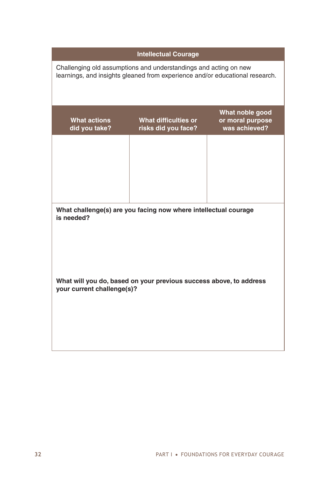| <b>Intellectual Courage</b>                                                                                                                      |                                                    |                                                      |  |  |
|--------------------------------------------------------------------------------------------------------------------------------------------------|----------------------------------------------------|------------------------------------------------------|--|--|
| Challenging old assumptions and understandings and acting on new<br>learnings, and insights gleaned from experience and/or educational research. |                                                    |                                                      |  |  |
| <b>What actions</b><br>did you take?                                                                                                             | <b>What difficulties or</b><br>risks did you face? | What noble good<br>or moral purpose<br>was achieved? |  |  |
|                                                                                                                                                  |                                                    |                                                      |  |  |
| What challenge(s) are you facing now where intellectual courage<br>is needed?                                                                    |                                                    |                                                      |  |  |
| What will you do, based on your previous success above, to address<br>your current challenge(s)?                                                 |                                                    |                                                      |  |  |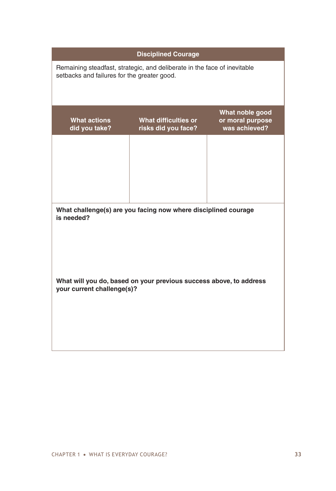| <b>Disciplined Courage</b>                                                                                              |                                             |                                                      |  |  |
|-------------------------------------------------------------------------------------------------------------------------|---------------------------------------------|------------------------------------------------------|--|--|
| Remaining steadfast, strategic, and deliberate in the face of inevitable<br>setbacks and failures for the greater good. |                                             |                                                      |  |  |
| <b>What actions</b><br>did you take?                                                                                    | What difficulties or<br>risks did you face? | What noble good<br>or moral purpose<br>was achieved? |  |  |
|                                                                                                                         |                                             |                                                      |  |  |
| What challenge(s) are you facing now where disciplined courage<br>is needed?                                            |                                             |                                                      |  |  |
| What will you do, based on your previous success above, to address<br>your current challenge(s)?                        |                                             |                                                      |  |  |